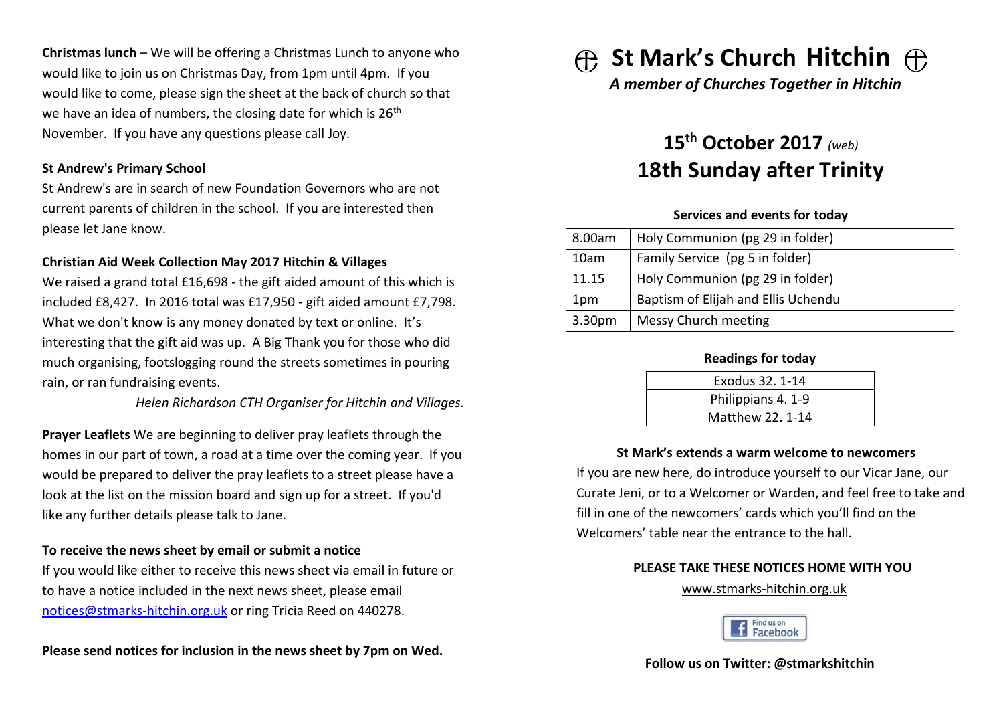**Christmas lunch** – We will be offering a Christmas Lunch to anyone who would like to join us on Christmas Day, from 1pm until 4pm. If you would like to come, please sign the sheet at the back of church so that we have an idea of numbers, the closing date for which is 26<sup>th</sup> November. If you have any questions please call Joy.

# **St Andrew's Primary School**

St Andrew's are in search of new Foundation Governors who are not current parents of children in the school. If you are interested then please let Jane know.

# **Christian Aid Week Collection May 2017 Hitchin & Villages**

We raised a grand total £16,698 - the gift aided amount of this which is included £8,427. In 2016 total was £17,950 - gift aided amount £7,798. What we don't know is any money donated by text or online. It's interesting that the gift aid was up. A Big Thank you for those who did much organising, footslogging round the streets sometimes in pouring rain, or ran fundraising events.

*Helen Richardson CTH Organiser for Hitchin and Villages.*

**Prayer Leaflets** We are beginning to deliver pray leaflets through the homes in our part of town, a road at a time over the coming year. If you would be prepared to deliver the pray leaflets to a street please have a look at the list on the mission board and sign up for a street. If you'd like any further details please talk to Jane.

# **To receive the news sheet by email or submit a notice**

If you would like either to receive this news sheet via email in future or to have a notice included in the next news sheet, please email [notices@stmarks-hitchin.org.uk](mailto:notices@stmarks-hitchin.org.uk) or ring Tricia Reed on 440278.

# **Please send notices for inclusion in the news sheet by 7pm on Wed.**

**St Mark's Church Hitchin** 

*A member of Churches Together in Hitchin*

# **15th October 2017** *(web)* **18th Sunday after Trinity**

# **Services and events for today**

| 8.00am | Holy Communion (pg 29 in folder)    |  |
|--------|-------------------------------------|--|
| 10am   | Family Service (pg 5 in folder)     |  |
| 11.15  | Holy Communion (pg 29 in folder)    |  |
| 1pm    | Baptism of Elijah and Ellis Uchendu |  |
| 3.30pm | Messy Church meeting                |  |

#### **Readings for today**

| Exodus 32, 1-14    |  |
|--------------------|--|
| Philippians 4. 1-9 |  |
| Matthew 22, 1-14   |  |

# **St Mark's extends a warm welcome to newcomers**

If you are new here, do introduce yourself to our Vicar Jane, our Curate Jeni, or to a Welcomer or Warden, and feel free to take and fill in one of the newcomers' cards which you'll find on the Welcomers' table near the entrance to the hall

# **PLEASE TAKE THESE NOTICES HOME WITH YOU**

[www.stmarks-hitchin.org.uk](http://www.stmarks-hitchin.org.uk/)



# **Follow us on Twitter: @stmarkshitchin**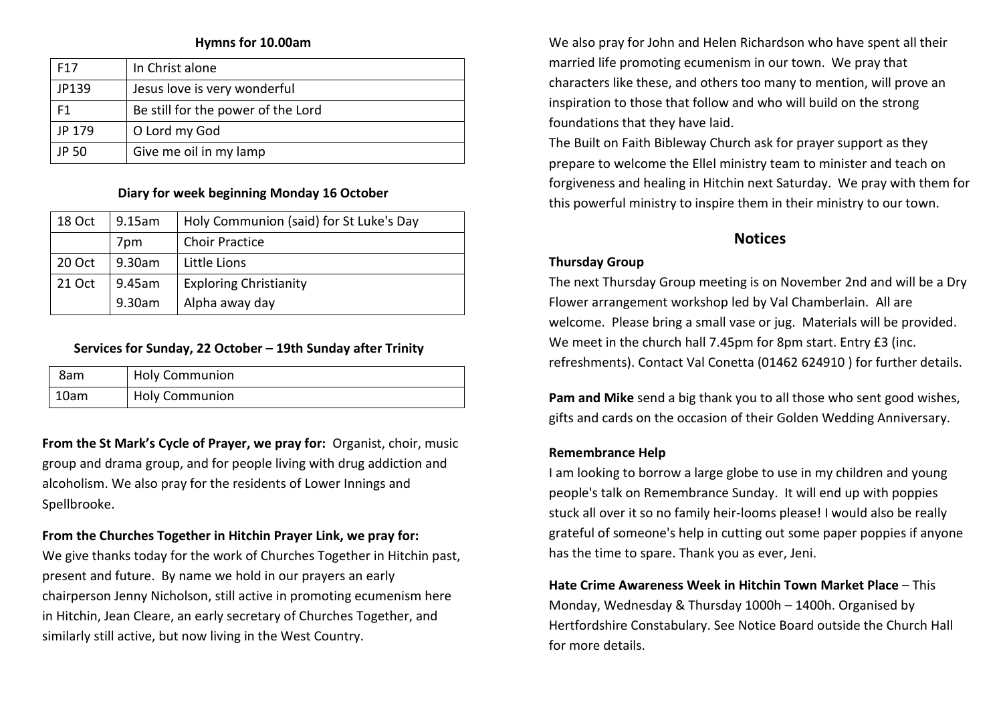#### **Hymns for 10.00am**

| F <sub>17</sub> | In Christ alone                    |  |
|-----------------|------------------------------------|--|
| JP139           | Jesus love is very wonderful       |  |
| F <sub>1</sub>  | Be still for the power of the Lord |  |
| JP 179          | O Lord my God                      |  |
| JP 50           | Give me oil in my lamp             |  |

## **Diary for week beginning Monday 16 October**

| 18 Oct | $9.15$ am | Holy Communion (said) for St Luke's Day |
|--------|-----------|-----------------------------------------|
|        | 7pm       | <b>Choir Practice</b>                   |
| 20 Oct | 9.30am    | Little Lions                            |
| 21 Oct | 9.45am    | <b>Exploring Christianity</b>           |
|        | 9.30am    | Alpha away day                          |

#### **Services for Sunday, 22 October – 19th Sunday after Trinity**

| 8am  | <b>Holy Communion</b> |
|------|-----------------------|
| 10am | <b>Holy Communion</b> |

**From the St Mark's Cycle of Prayer, we pray for:** Organist, choir, music group and drama group, and for people living with drug addiction and alcoholism. We also pray for the residents of Lower Innings and Spellbrooke.

# **From the Churches Together in Hitchin Prayer Link, we pray for:**

We give thanks today for the work of Churches Together in Hitchin past, present and future. By name we hold in our prayers an early chairperson Jenny Nicholson, still active in promoting ecumenism here in Hitchin, Jean Cleare, an early secretary of Churches Together, and similarly still active, but now living in the West Country.

We also pray for John and Helen Richardson who have spent all their married life promoting ecumenism in our town. We pray that characters like these, and others too many to mention, will prove an inspiration to those that follow and who will build on the strong foundations that they have laid.

The Built on Faith Bibleway Church ask for prayer support as they prepare to welcome the Ellel ministry team to minister and teach on forgiveness and healing in Hitchin next Saturday. We pray with them for this powerful ministry to inspire them in their ministry to our town.

# **Notices**

#### **Thursday Group**

The next Thursday Group meeting is on November 2nd and will be a Dry Flower arrangement workshop led by Val Chamberlain. All are welcome. Please bring a small vase or jug. Materials will be provided. We meet in the church hall 7.45pm for 8pm start. Entry £3 (inc. refreshments). Contact Val Conetta (01462 624910 ) for further details.

**Pam and Mike** send a big thank you to all those who sent good wishes, gifts and cards on the occasion of their Golden Wedding Anniversary.

#### **Remembrance Help**

I am looking to borrow a large globe to use in my children and young people's talk on Remembrance Sunday. It will end up with poppies stuck all over it so no family heir-looms please! I would also be really grateful of someone's help in cutting out some paper poppies if anyone has the time to spare. Thank you as ever, Jeni.

**Hate Crime Awareness Week in Hitchin Town Market Place** – This Monday, Wednesday & Thursday 1000h – 1400h. Organised by Hertfordshire Constabulary. See Notice Board outside the Church Hall for more details.